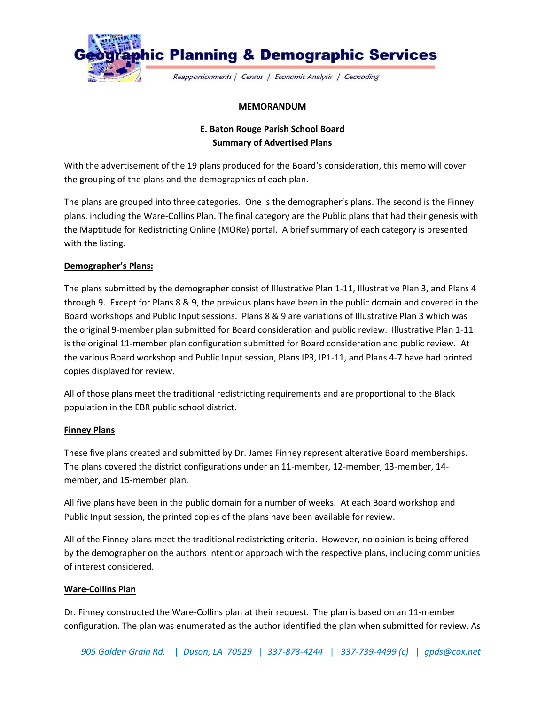

## **MEMORANDUM**

# **E. Baton Rouge Parish School Board Summary of Advertised Plans**

With the advertisement of the 19 plans produced for the Board's consideration, this memo will cover the grouping of the plans and the demographics of each plan.

The plans are grouped into three categories. One is the demographer's plans. The second is the Finney plans, including the Ware-Collins Plan. The final category are the Public plans that had their genesis with the Maptitude for Redistricting Online (MORe) portal. A brief summary of each category is presented with the listing.

## **Demographer's Plans:**

The plans submitted by the demographer consist of Illustrative Plan 1-11, Illustrative Plan 3, and Plans 4 through 9. Except for Plans 8 & 9, the previous plans have been in the public domain and covered in the Board workshops and Public Input sessions. Plans 8 & 9 are variations of Illustrative Plan 3 which was the original 9-member plan submitted for Board consideration and public review. Illustrative Plan 1-11 is the original 11-member plan configuration submitted for Board consideration and public review. At the various Board workshop and Public Input session, Plans IP3, IP1-11, and Plans 4-7 have had printed copies displayed for review.

All of those plans meet the traditional redistricting requirements and are proportional to the Black population in the EBR public school district.

## **Finney Plans**

These five plans created and submitted by Dr. James Finney represent alterative Board memberships. The plans covered the district configurations under an 11-member, 12-member, 13-member, 14 member, and 15-member plan.

All five plans have been in the public domain for a number of weeks. At each Board workshop and Public Input session, the printed copies of the plans have been available for review.

All of the Finney plans meet the traditional redistricting criteria. However, no opinion is being offered by the demographer on the authors intent or approach with the respective plans, including communities of interest considered.

## **Ware-Collins Plan**

Dr. Finney constructed the Ware-Collins plan at their request. The plan is based on an 11-member configuration. The plan was enumerated as the author identified the plan when submitted for review. As